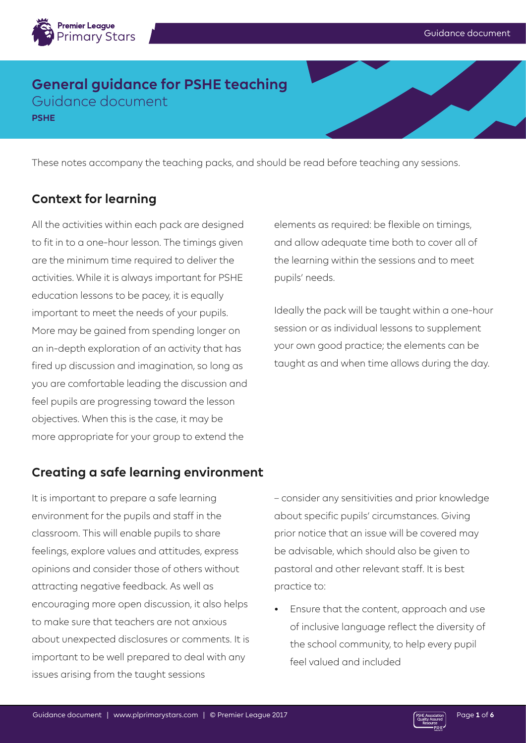

## **General guidance for PSHE teaching** Guidance document

**PSHE**

These notes accompany the teaching packs, and should be read before teaching any sessions.

## **Context for learning**

All the activities within each pack are designed to fit in to a one-hour lesson. The timings given are the minimum time required to deliver the activities. While it is always important for PSHE education lessons to be pacey, it is equally important to meet the needs of your pupils. More may be gained from spending longer on an in-depth exploration of an activity that has fired up discussion and imagination, so long as you are comfortable leading the discussion and feel pupils are progressing toward the lesson objectives. When this is the case, it may be more appropriate for your group to extend the

# elements as required: be flexible on timings, and allow adequate time both to cover all of the learning within the sessions and to meet pupils' needs.

Ideally the pack will be taught within a one-hour session or as individual lessons to supplement your own good practice; the elements can be taught as and when time allows during the day.

## **Creating a safe learning environment**

It is important to prepare a safe learning environment for the pupils and staff in the classroom. This will enable pupils to share feelings, explore values and attitudes, express opinions and consider those of others without attracting negative feedback. As well as encouraging more open discussion, it also helps to make sure that teachers are not anxious about unexpected disclosures or comments. It is important to be well prepared to deal with any issues arising from the taught sessions

– consider any sensitivities and prior knowledge about specific pupils' circumstances. Giving prior notice that an issue will be covered may be advisable, which should also be given to pastoral and other relevant staff. It is best practice to:

• Ensure that the content, approach and use of inclusive language reflect the diversity of the school community, to help every pupil feel valued and included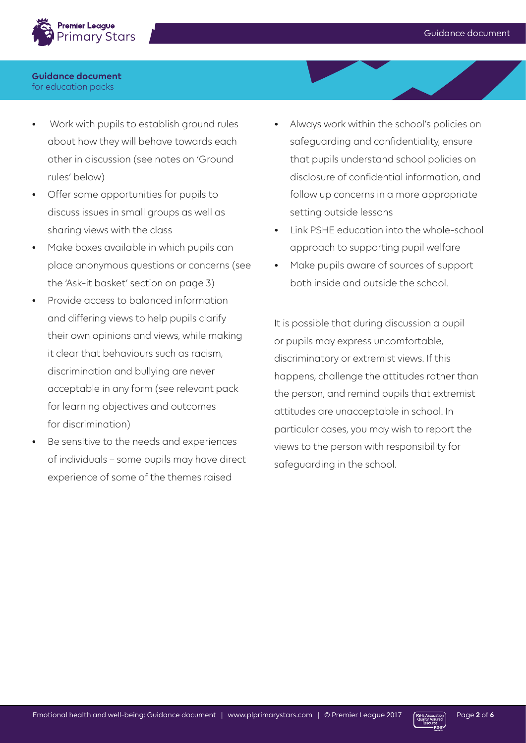

- Work with pupils to establish ground rules about how they will behave towards each other in discussion (see notes on 'Ground rules' below)
- Offer some opportunities for pupils to discuss issues in small groups as well as sharing views with the class
- Make boxes available in which pupils can place anonymous questions or concerns (see the 'Ask-it basket' section on page 3)
- Provide access to balanced information and differing views to help pupils clarify their own opinions and views, while making it clear that behaviours such as racism, discrimination and bullying are never acceptable in any form (see relevant pack for learning objectives and outcomes for discrimination)
- Be sensitive to the needs and experiences of individuals – some pupils may have direct experience of some of the themes raised
- Always work within the school's policies on safeguarding and confidentiality, ensure that pupils understand school policies on disclosure of confidential information, and follow up concerns in a more appropriate setting outside lessons
- Link PSHE education into the whole-school approach to supporting pupil welfare
- Make pupils aware of sources of support both inside and outside the school.

It is possible that during discussion a pupil or pupils may express uncomfortable, discriminatory or extremist views. If this happens, challenge the attitudes rather than the person, and remind pupils that extremist attitudes are unacceptable in school. In particular cases, you may wish to report the views to the person with responsibility for safeguarding in the school.

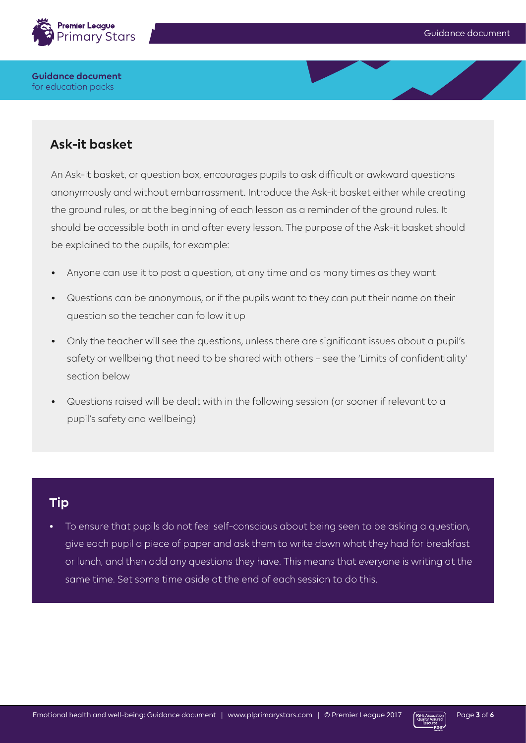

# **Ask-it basket**

An Ask-it basket, or question box, encourages pupils to ask difficult or awkward questions anonymously and without embarrassment. Introduce the Ask-it basket either while creating the ground rules, or at the beginning of each lesson as a reminder of the ground rules. It should be accessible both in and after every lesson. The purpose of the Ask-it basket should be explained to the pupils, for example:

- Anyone can use it to post a question, at any time and as many times as they want
- Questions can be anonymous, or if the pupils want to they can put their name on their question so the teacher can follow it up
- Only the teacher will see the questions, unless there are significant issues about a pupil's safety or wellbeing that need to be shared with others – see the 'Limits of confidentiality' section below
- Questions raised will be dealt with in the following session (or sooner if relevant to a pupil's safety and wellbeing)

## **Tip**

To ensure that pupils do not feel self-conscious about being seen to be asking a question, give each pupil a piece of paper and ask them to write down what they had for breakfast or lunch, and then add any questions they have. This means that everyone is writing at the same time. Set some time aside at the end of each session to do this.

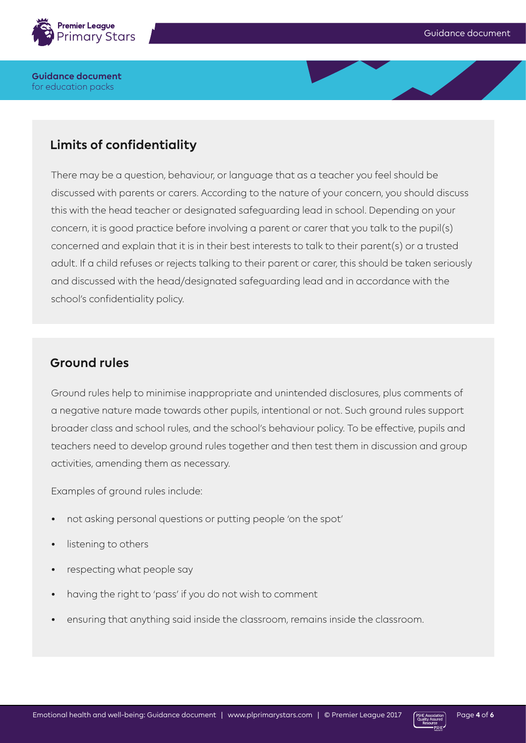

# **Limits of confidentiality**

There may be a question, behaviour, or language that as a teacher you feel should be discussed with parents or carers. According to the nature of your concern, you should discuss this with the head teacher or designated safeguarding lead in school. Depending on your concern, it is good practice before involving a parent or carer that you talk to the pupil(s) concerned and explain that it is in their best interests to talk to their parent(s) or a trusted adult. If a child refuses or rejects talking to their parent or carer, this should be taken seriously and discussed with the head/designated safeguarding lead and in accordance with the school's confidentiality policy.

## **Ground rules**

Ground rules help to minimise inappropriate and unintended disclosures, plus comments of a negative nature made towards other pupils, intentional or not. Such ground rules support broader class and school rules, and the school's behaviour policy. To be effective, pupils and teachers need to develop ground rules together and then test them in discussion and group activities, amending them as necessary.

Examples of ground rules include:

- not asking personal questions or putting people 'on the spot'
- listening to others
- respecting what people say
- having the right to 'pass' if you do not wish to comment
- ensuring that anything said inside the classroom, remains inside the classroom.

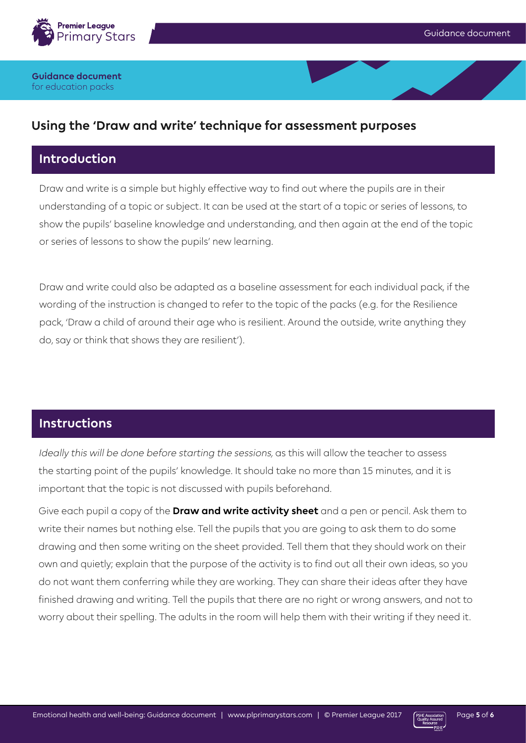

### **Using the 'Draw and write' technique for assessment purposes**

### **Introduction**

Draw and write is a simple but highly effective way to find out where the pupils are in their understanding of a topic or subject. It can be used at the start of a topic or series of lessons, to show the pupils' baseline knowledge and understanding, and then again at the end of the topic or series of lessons to show the pupils' new learning.

Draw and write could also be adapted as a baseline assessment for each individual pack, if the wording of the instruction is changed to refer to the topic of the packs (e.g. for the Resilience pack, 'Draw a child of around their age who is resilient. Around the outside, write anything they do, say or think that shows they are resilient').

### **Instructions**

Ideally this will be done before starting the sessions, as this will allow the teacher to assess the starting point of the pupils' knowledge. It should take no more than 15 minutes, and it is important that the topic is not discussed with pupils beforehand.

Give each pupil a copy of the **Draw and write activity sheet** and a pen or pencil. Ask them to write their names but nothing else. Tell the pupils that you are going to ask them to do some drawing and then some writing on the sheet provided. Tell them that they should work on their own and quietly; explain that the purpose of the activity is to find out all their own ideas, so you do not want them conferring while they are working. They can share their ideas after they have finished drawing and writing. Tell the pupils that there are no right or wrong answers, and not to worry about their spelling. The adults in the room will help them with their writing if they need it.